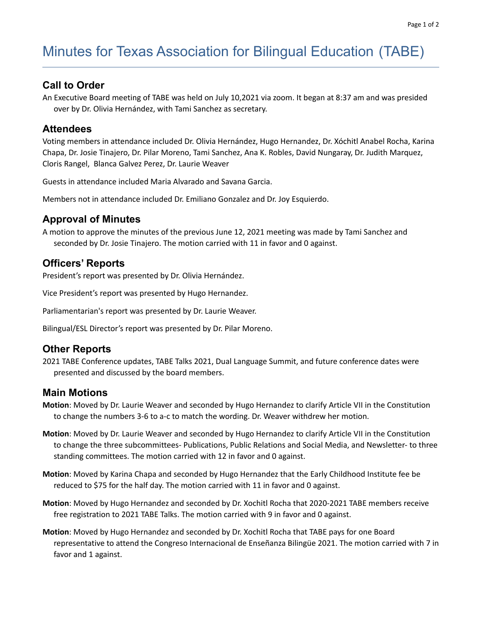# Minutes for Texas Association for Bilingual Education (TABE)

#### **Call to Order**

An Executive Board meeting of TABE was held on July 10,2021 via zoom. It began at 8:37 am and was presided over by Dr. Olivia Hernández, with Tami Sanchez as secretary.

#### **Attendees**

Voting members in attendance included Dr. Olivia Hernández, Hugo Hernandez, Dr. Xóchitl Anabel Rocha, Karina Chapa, Dr. Josie Tinajero, Dr. Pilar Moreno, Tami Sanchez, Ana K. Robles, David Nungaray, Dr. Judith Marquez, Cloris Rangel, Blanca Galvez Perez, Dr. Laurie Weaver

Guests in attendance included Maria Alvarado and Savana Garcia.

Members not in attendance included Dr. Emiliano Gonzalez and Dr. Joy Esquierdo.

#### **Approval of Minutes**

A motion to approve the minutes of the previous June 12, 2021 meeting was made by Tami Sanchez and seconded by Dr. Josie Tinajero. The motion carried with 11 in favor and 0 against.

#### **Officers' Reports**

President's report was presented by Dr. Olivia Hernández.

Vice President's report was presented by Hugo Hernandez.

Parliamentarian's report was presented by Dr. Laurie Weaver.

Bilingual/ESL Director's report was presented by Dr. Pilar Moreno.

#### **Other Reports**

2021 TABE Conference updates, TABE Talks 2021, Dual Language Summit, and future conference dates were presented and discussed by the board members.

#### **Main Motions**

- **Motion**: Moved by Dr. Laurie Weaver and seconded by Hugo Hernandez to clarify Article VII in the Constitution to change the numbers 3-6 to a-c to match the wording. Dr. Weaver withdrew her motion.
- **Motion**: Moved by Dr. Laurie Weaver and seconded by Hugo Hernandez to clarify Article VII in the Constitution to change the three subcommittees- Publications, Public Relations and Social Media, and Newsletter- to three standing committees. The motion carried with 12 in favor and 0 against.
- **Motion**: Moved by Karina Chapa and seconded by Hugo Hernandez that the Early Childhood Institute fee be reduced to \$75 for the half day. The motion carried with 11 in favor and 0 against.
- **Motion**: Moved by Hugo Hernandez and seconded by Dr. Xochitl Rocha that 2020-2021 TABE members receive free registration to 2021 TABE Talks. The motion carried with 9 in favor and 0 against.
- **Motion**: Moved by Hugo Hernandez and seconded by Dr. Xochitl Rocha that TABE pays for one Board representative to attend the Congreso Internacional de Enseñanza Bilingüe 2021. The motion carried with 7 in favor and 1 against.